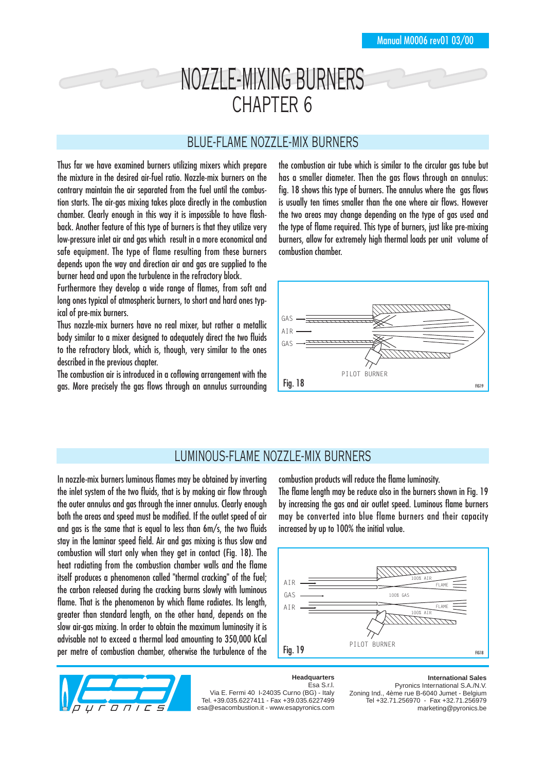# NOZZLE-MIXING BURNERS CHAPTER 6

## BLUE-FLAME NOZZLE-MIX BURNERS

Thus far we have examined burners utilizing mixers which prepare the mixture in the desired air-fuel ratio. Nozzle-mix burners on the contrary maintain the air separated from the fuel until the combustion starts. The air-gas mixing takes place directly in the combustion chamber. Clearly enough in this way it is impossible to have flashback. Another feature of this type of burners is that they utilize very low-pressure inlet air and gas which result in a more economical and safe equipment. The type of flame resulting from these burners depends upon the way and direction air and gas are supplied to the burner head and upon the turbulence in the refractory block.

Furthermore they develop a wide range of flames, from soft and long ones typical of atmospheric burners, to short and hard ones typical of pre-mix burners.

Thus nozzle-mix burners have no real mixer, but rather a metallic body similar to a mixer designed to adequately direct the two fluids to the refractory block, which is, though, very similar to the ones described in the previous chapter.

The combustion air is introduced in a coflowing arrangement with the gas. More precisely the gas flows through an annulus surrounding the combustion air tube which is similar to the circular gas tube but has a smaller diameter. Then the gas flows through an annulus: fig. 18 shows this type of burners. The annulus where the gas flows is usually ten times smaller than the one where air flows. However the two areas may change depending on the type of gas used and the type of flame required. This type of burners, just like pre-mixing burners, allow for extremely high thermal loads per unit volume of combustion chamber.



# LUMINOUS-FLAME NOZZLE-MIX BURNERS

In nozzle-mix burners luminous flames may be obtained by inverting the inlet system of the two fluids, that is by making air flow through the outer annulus and gas through the inner annulus. Clearly enough both the areas and speed must be modified. If the outlet speed of air and gas is the same that is equal to less than 6m/s, the two fluids stay in the laminar speed field. Air and gas mixing is thus slow and combustion will start only when they get in contact (Fig. 18). The heat radiating from the combustion chamber walls and the flame itself produces a phenomenon called "thermal cracking" of the fuel; the carbon released during the cracking burns slowly with luminous flame. That is the phenomenon by which flame radiates. Its length, greater than standard length, on the other hand, depends on the slow air-gas mixing. In order to obtain the maximum luminosity it is advisable not to exceed a thermal load amounting to 350,000 kCal per metre of combustion chamber, otherwise the turbulence of the

combustion products will reduce the flame luminosity.

The flame length may be reduce also in the burners shown in Fig. 19 by increasing the gas and air outlet speed. Luminous flame burners may be converted into blue flame burners and their capacity increased by up to 100% the initial value.





#### **Headquarters** Esa S.r.l.

Via E. Fermi 40 I-24035 Curno (BG) - Italy Tel. +39.035.6227411 - Fax +39.035.6227499 esa@esacombustion.it - www.esapyronics.com **International Sales**

Pyronics International S.A./N.V. Zoning Ind., 4ème rue B-6040 Jumet - Belgium Tel +32.71.256970 - Fax +32.71.256979 marketing@pyronics.be